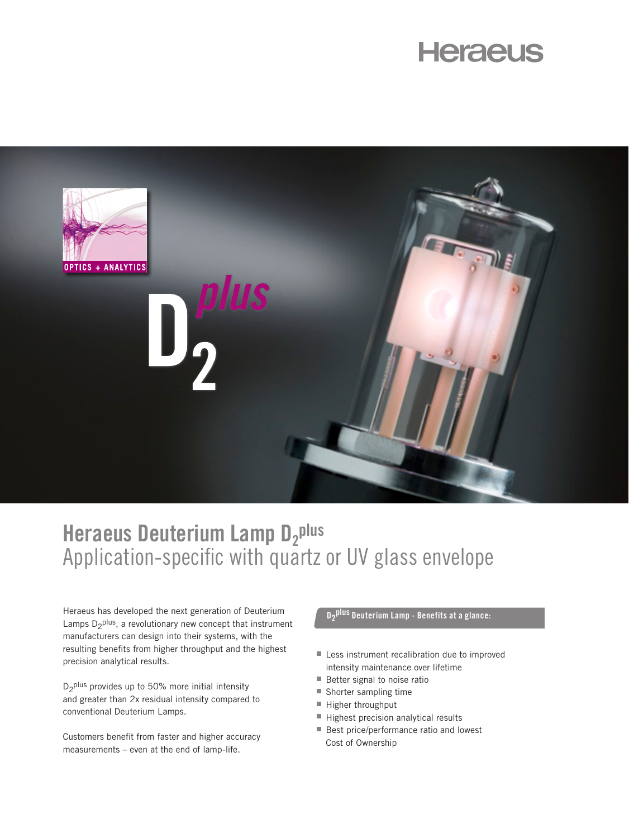# **Heraeus**



## **Heraeus Deuterium Lamp D<sub>2</sub>plus** Application-specific with quartz or UV glass envelope

Heraeus has developed the next generation of Deuterium Lamps  $D_2$ <sup>plus</sup>, a revolutionary new concept that instrument manufacturers can design into their systems, with the resulting benefits from higher throughput and the highest precision analytical results.

 $D_2$ <sup>plus</sup> provides up to 50% more initial intensity and greater than 2x residual intensity compared to conventional Deuterium Lamps.

Customers benefit from faster and higher accuracy measurements – even at the end of lamp-life.

## **D2 plus Deuterium Lamp - Benefits at a glance:**

- Less instrument recalibration due to improved intensity maintenance over lifetime
- $\blacksquare$  Better signal to noise ratio
- Shorter sampling time
- Higher throughput
- $\blacksquare$  Highest precision analytical results
- Best price/performance ratio and lowest Cost of Ownership